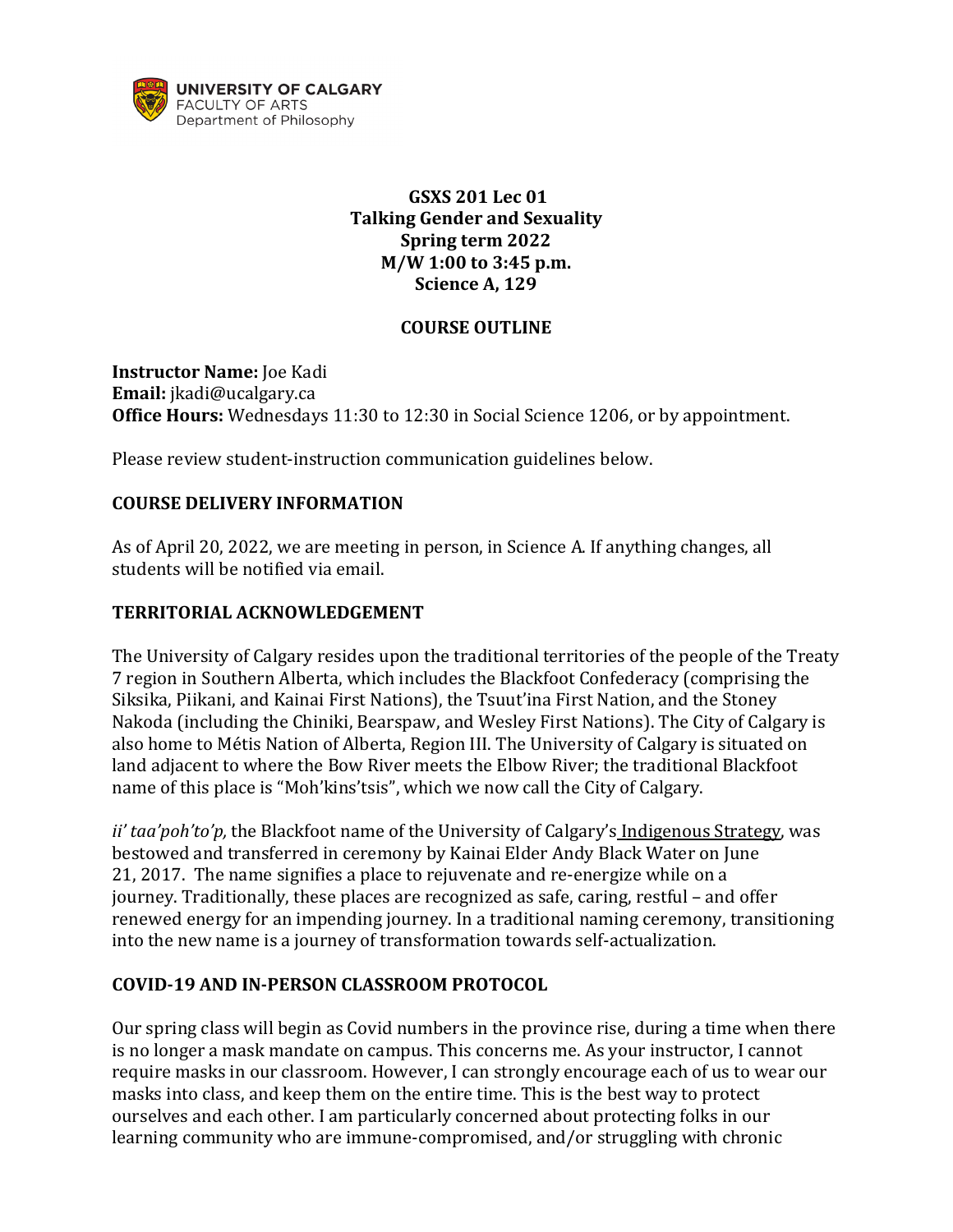

# **GSXS 201 Lec 01 Talking Gender and Sexuality Spring term 2022 M/W 1:00 to 3:45 p.m. Science A, 129**

#### **COURSE OUTLINE**

**Instructor Name:** Joe Kadi **Email:** jkadi@ucalgary.ca **Office Hours:** Wednesdays 11:30 to 12:30 in Social Science 1206, or by appointment.

Please review student-instruction communication guidelines below.

#### **COURSE DELIVERY INFORMATION**

As of April 20, 2022, we are meeting in person, in Science A. If anything changes, all students will be notified via email.

#### **TERRITORIAL ACKNOWLEDGEMENT**

The University of Calgary resides upon the traditional territories of the people of the Treaty 7 region in Southern Alberta, which includes the Blackfoot Confederacy (comprising the Siksika, Piikani, and Kainai First Nations), the Tsuut'ina First Nation, and the Stoney Nakoda (including the Chiniki, Bearspaw, and Wesley First Nations). The City of Calgary is also home to Métis Nation of Alberta, Region III. The University of Calgary is situated on land adjacent to where the Bow River meets the Elbow River; the traditional Blackfoot name of this place is "Moh'kins'tsis", which we now call the City of Calgary.

*ii' taa'poh'to'p,* the Blackfoot name of the University of Calgary's [Indigenous Strategy,](https://www.ucalgary.ca/indigenous/ii-taapohtop) was bestowed and transferred in ceremony by Kainai Elder Andy Black Water on June 21, 2017. The name signifies a place to rejuvenate and re-energize while on a journey. Traditionally, these places are recognized as safe, caring, restful – and offer renewed energy for an impending journey. In a traditional naming ceremony, transitioning into the new name is a journey of transformation towards self-actualization.

### **COVID-19 AND IN-PERSON CLASSROOM PROTOCOL**

Our spring class will begin as Covid numbers in the province rise, during a time when there is no longer a mask mandate on campus. This concerns me. As your instructor, I cannot require masks in our classroom. However, I can strongly encourage each of us to wear our masks into class, and keep them on the entire time. This is the best way to protect ourselves and each other. I am particularly concerned about protecting folks in our learning community who are immune-compromised, and/or struggling with chronic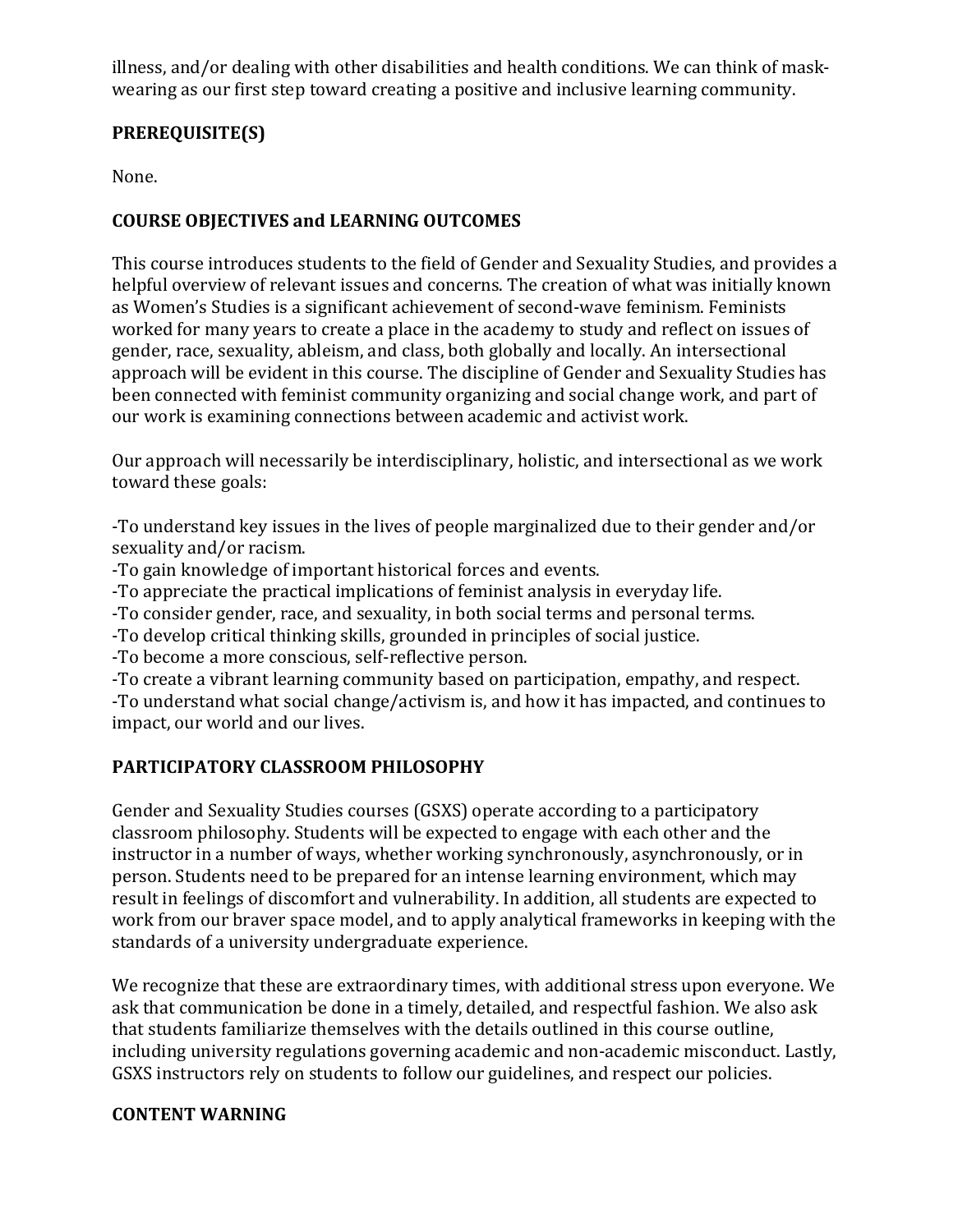illness, and/or dealing with other disabilities and health conditions. We can think of maskwearing as our first step toward creating a positive and inclusive learning community.

# **PREREQUISITE(S)**

None.

# **COURSE OBJECTIVES and LEARNING OUTCOMES**

This course introduces students to the field of Gender and Sexuality Studies, and provides a helpful overview of relevant issues and concerns. The creation of what was initially known as Women's Studies is a significant achievement of second-wave feminism. Feminists worked for many years to create a place in the academy to study and reflect on issues of gender, race, sexuality, ableism, and class, both globally and locally. An intersectional approach will be evident in this course. The discipline of Gender and Sexuality Studies has been connected with feminist community organizing and social change work, and part of our work is examining connections between academic and activist work.

Our approach will necessarily be interdisciplinary, holistic, and intersectional as we work toward these goals:

-To understand key issues in the lives of people marginalized due to their gender and/or sexuality and/or racism.

-To gain knowledge of important historical forces and events.

-To appreciate the practical implications of feminist analysis in everyday life.

-To consider gender, race, and sexuality, in both social terms and personal terms.

-To develop critical thinking skills, grounded in principles of social justice.

-To become a more conscious, self-reflective person.

-To create a vibrant learning community based on participation, empathy, and respect. -To understand what social change/activism is, and how it has impacted, and continues to impact, our world and our lives.

# **PARTICIPATORY CLASSROOM PHILOSOPHY**

Gender and Sexuality Studies courses (GSXS) operate according to a participatory classroom philosophy. Students will be expected to engage with each other and the instructor in a number of ways, whether working synchronously, asynchronously, or in person. Students need to be prepared for an intense learning environment, which may result in feelings of discomfort and vulnerability. In addition, all students are expected to work from our braver space model, and to apply analytical frameworks in keeping with the standards of a university undergraduate experience.

We recognize that these are extraordinary times, with additional stress upon everyone. We ask that communication be done in a timely, detailed, and respectful fashion. We also ask that students familiarize themselves with the details outlined in this course outline, including university regulations governing academic and non-academic misconduct. Lastly, GSXS instructors rely on students to follow our guidelines, and respect our policies.

### **CONTENT WARNING**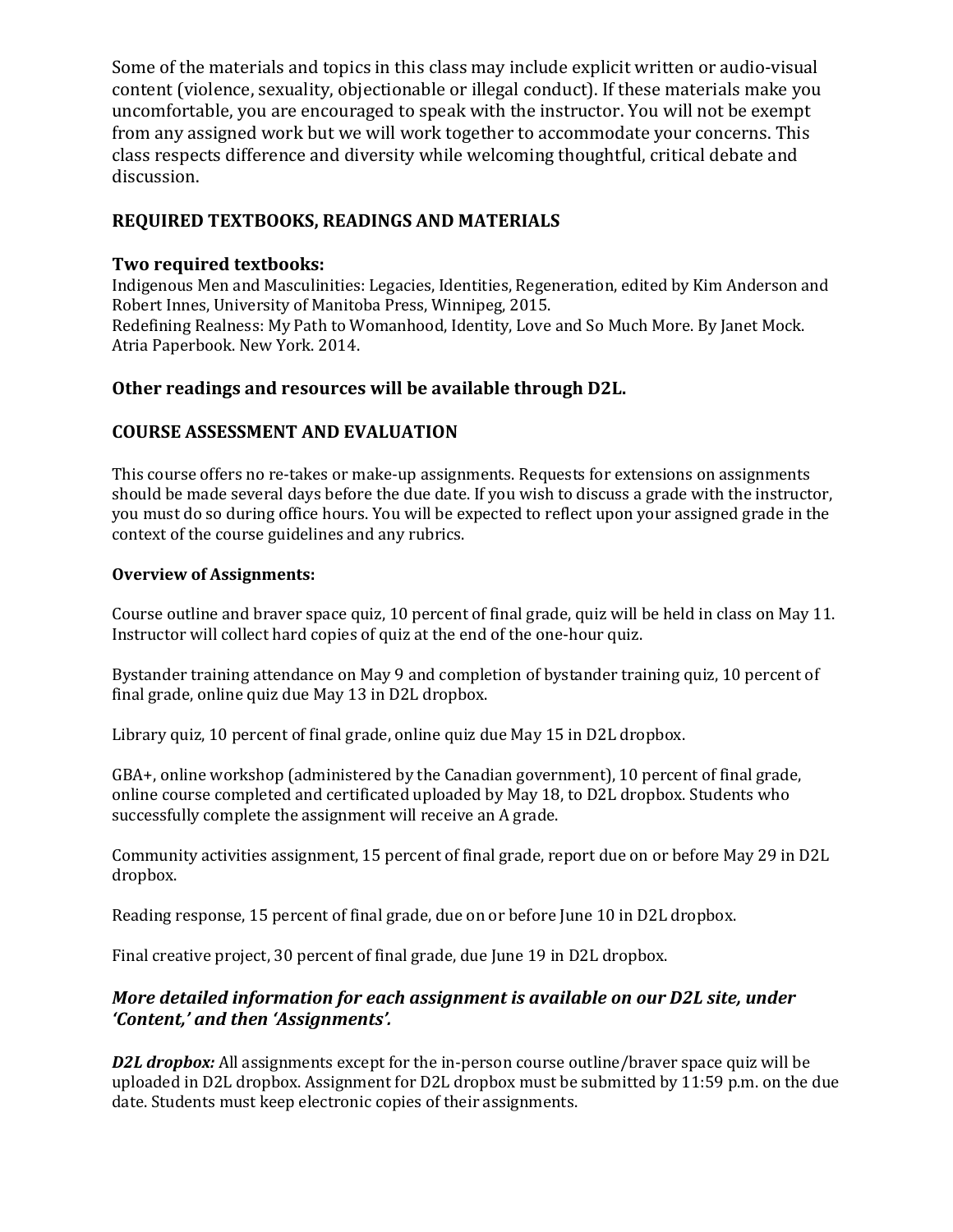Some of the materials and topics in this class may include explicit written or audio-visual content (violence, sexuality, objectionable or illegal conduct). If these materials make you uncomfortable, you are encouraged to speak with the instructor. You will not be exempt from any assigned work but we will work together to accommodate your concerns. This class respects difference and diversity while welcoming thoughtful, critical debate and discussion.

# **REQUIRED TEXTBOOKS, READINGS AND MATERIALS**

#### **Two required textbooks:**

Indigenous Men and Masculinities: Legacies, Identities, Regeneration, edited by Kim Anderson and Robert Innes, University of Manitoba Press, Winnipeg, 2015. Redefining Realness: My Path to Womanhood, Identity, Love and So Much More. By Janet Mock. Atria Paperbook. New York. 2014.

### **Other readings and resources will be available through D2L.**

### **COURSE ASSESSMENT AND EVALUATION**

This course offers no re-takes or make-up assignments. Requests for extensions on assignments should be made several days before the due date. If you wish to discuss a grade with the instructor, you must do so during office hours. You will be expected to reflect upon your assigned grade in the context of the course guidelines and any rubrics.

#### **Overview of Assignments:**

Course outline and braver space quiz, 10 percent of final grade, quiz will be held in class on May 11. Instructor will collect hard copies of quiz at the end of the one-hour quiz.

Bystander training attendance on May 9 and completion of bystander training quiz, 10 percent of final grade, online quiz due May 13 in D2L dropbox.

Library quiz, 10 percent of final grade, online quiz due May 15 in D2L dropbox.

GBA+, online workshop (administered by the Canadian government), 10 percent of final grade, online course completed and certificated uploaded by May 18, to D2L dropbox. Students who successfully complete the assignment will receive an A grade.

Community activities assignment, 15 percent of final grade, report due on or before May 29 in D2L dropbox.

Reading response, 15 percent of final grade, due on or before June 10 in D2L dropbox.

Final creative project, 30 percent of final grade, due June 19 in D2L dropbox.

### *More detailed information for each assignment is available on our D2L site, under 'Content,' and then 'Assignments'.*

*D2L dropbox:* All assignments except for the in-person course outline/braver space quiz will be uploaded in D2L dropbox. Assignment for D2L dropbox must be submitted by 11:59 p.m. on the due date. Students must keep electronic copies of their assignments.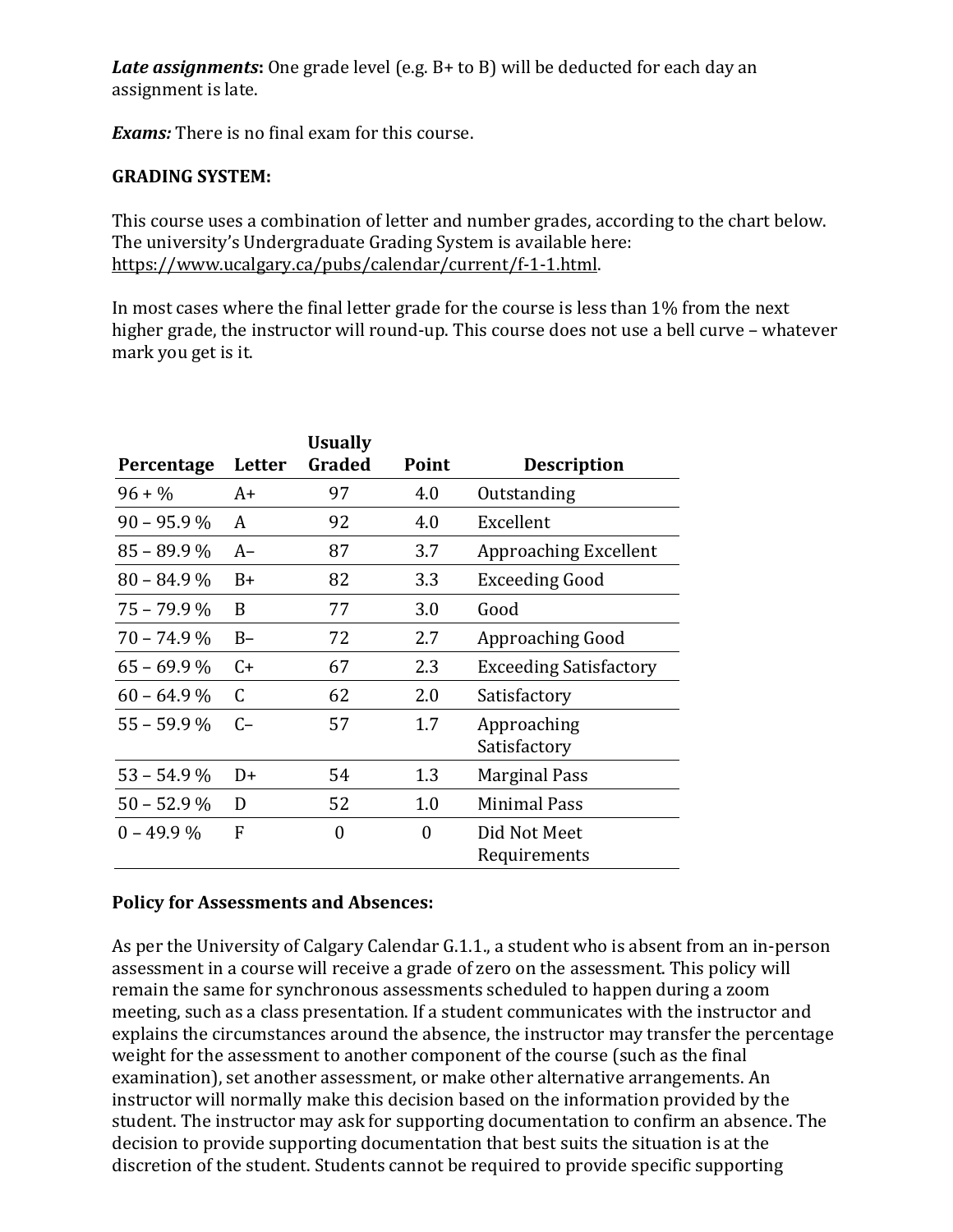*Late assignments***:** One grade level (e.g. B+ to B) will be deducted for each day an assignment is late.

*Exams:* There is no final exam for this course.

#### **GRADING SYSTEM:**

This course uses a combination of letter and number grades, according to the chart below. The university's Undergraduate Grading System is available here: [https://www.ucalgary.ca/pubs/calendar/current/f-1-1.html.](https://www.ucalgary.ca/pubs/calendar/current/f-1-1.html)

In most cases where the final letter grade for the course is less than 1% from the next higher grade, the instructor will round-up. This course does not use a bell curve – whatever mark you get is it.

| Percentage    | Letter | <b>Usually</b><br>Graded | Point    | <b>Description</b>            |
|---------------|--------|--------------------------|----------|-------------------------------|
| $96 + \%$     | A+     | 97                       | 4.0      | Outstanding                   |
| $90 - 95.9 %$ | A      | 92                       | 4.0      | Excellent                     |
| $85 - 89.9 %$ | $A-$   | 87                       | 3.7      | Approaching Excellent         |
| $80 - 84.9\%$ | $B+$   | 82                       | 3.3      | <b>Exceeding Good</b>         |
| $75 - 79.9 %$ | B      | 77                       | 3.0      | Good                          |
| $70 - 74.9\%$ | $B -$  | 72                       | 2.7      | Approaching Good              |
| $65 - 69.9%$  | $C+$   | 67                       | 2.3      | <b>Exceeding Satisfactory</b> |
| $60 - 64.9\%$ | C      | 62                       | 2.0      | Satisfactory                  |
| $55 - 59.9 %$ | $C-$   | 57                       | 1.7      | Approaching<br>Satisfactory   |
| $53 - 54.9\%$ | $D+$   | 54                       | 1.3      | Marginal Pass                 |
| $50 - 52.9%$  | D      | 52                       | 1.0      | <b>Minimal Pass</b>           |
| $0 - 49.9\%$  | F      | $\Omega$                 | $\Omega$ | Did Not Meet<br>Requirements  |

### **Policy for Assessments and Absences:**

As per the University of Calgary Calendar G.1.1., a student who is absent from an in-person assessment in a course will receive a grade of zero on the assessment. This policy will remain the same for synchronous assessments scheduled to happen during a zoom meeting, such as a class presentation. If a student communicates with the instructor and explains the circumstances around the absence, the instructor may transfer the percentage weight for the assessment to another component of the course (such as the final examination), set another assessment, or make other alternative arrangements. An instructor will normally make this decision based on the information provided by the student. The instructor may ask for supporting documentation to confirm an absence. The decision to provide supporting documentation that best suits the situation is at the discretion of the student. Students cannot be required to provide specific supporting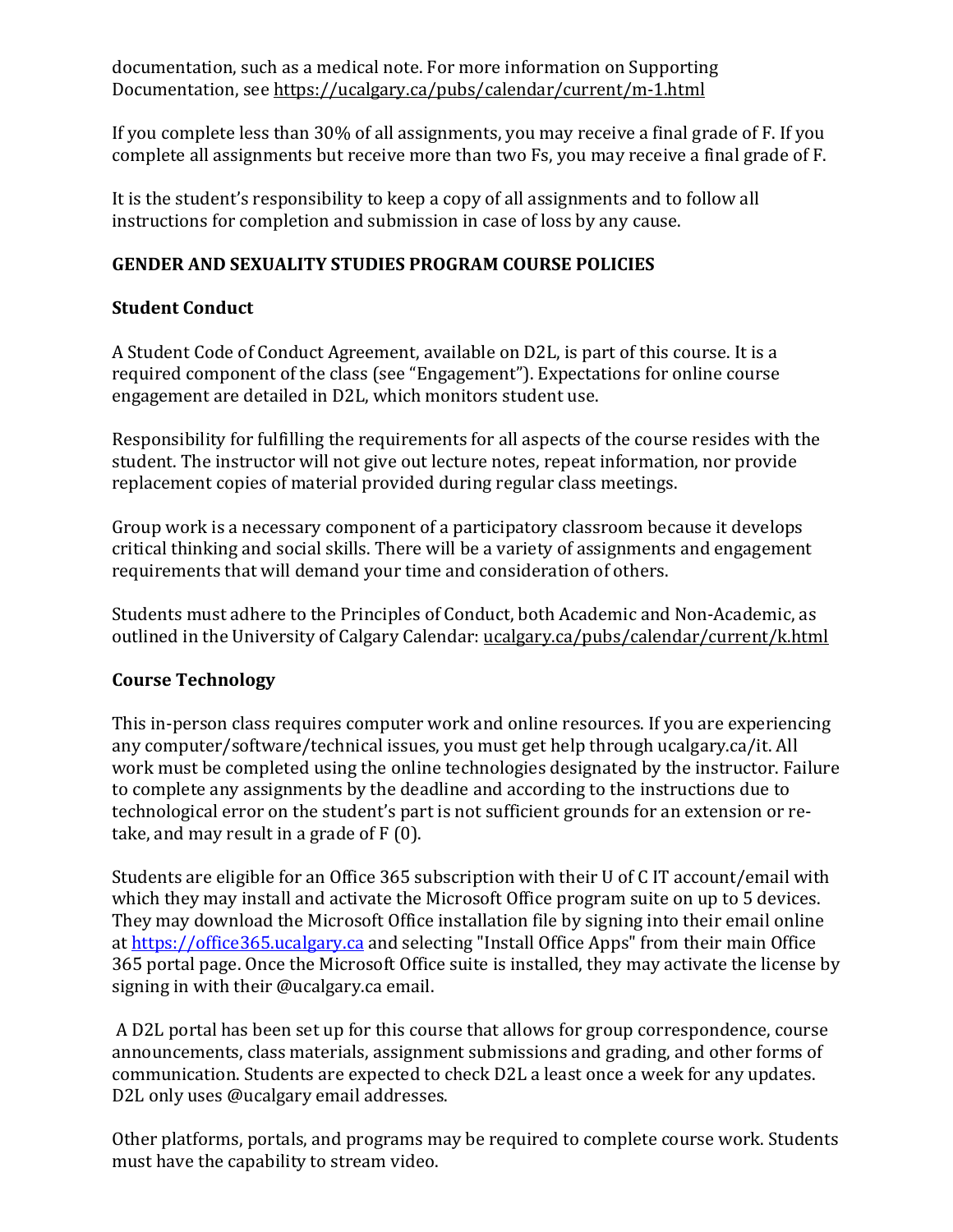documentation, such as a medical note. For more information on Supporting Documentation, see<https://ucalgary.ca/pubs/calendar/current/m-1.html>

If you complete less than 30% of all assignments, you may receive a final grade of F. If you complete all assignments but receive more than two Fs, you may receive a final grade of F.

It is the student's responsibility to keep a copy of all assignments and to follow all instructions for completion and submission in case of loss by any cause.

# **GENDER AND SEXUALITY STUDIES PROGRAM COURSE POLICIES**

### **Student Conduct**

A Student Code of Conduct Agreement, available on D2L, is part of this course. It is a required component of the class (see "Engagement"). Expectations for online course engagement are detailed in D2L, which monitors student use.

Responsibility for fulfilling the requirements for all aspects of the course resides with the student. The instructor will not give out lecture notes, repeat information, nor provide replacement copies of material provided during regular class meetings.

Group work is a necessary component of a participatory classroom because it develops critical thinking and social skills. There will be a variety of assignments and engagement requirements that will demand your time and consideration of others.

Students must adhere to the Principles of Conduct, both Academic and Non-Academic, as outlined in the University of Calgary Calendar: [ucalgary.ca/pubs/calendar/current/k.html](https://ucalgary.ca/pubs/calendar/current/k.html)

### **Course Technology**

This in-person class requires computer work and online resources. If you are experiencing any computer/software/technical issues, you must get help through ucalgary.ca/it. All work must be completed using the online technologies designated by the instructor. Failure to complete any assignments by the deadline and according to the instructions due to technological error on the student's part is not sufficient grounds for an extension or retake, and may result in a grade of F (0).

Students are eligible for an Office 365 subscription with their U of C IT account/email with which they may install and activate the Microsoft Office program suite on up to 5 devices. They may download the Microsoft Office installation file by signing into their email online at [https://office365.ucalgary.ca](https://office365.ucalgary.ca/) and selecting "Install Office Apps" from their main Office 365 portal page. Once the Microsoft Office suite is installed, they may activate the license by signing in with their @ucalgary.ca email.

A D2L portal has been set up for this course that allows for group correspondence, course announcements, class materials, assignment submissions and grading, and other forms of communication. Students are expected to check D2L a least once a week for any updates. D2L only uses @ucalgary email addresses.

Other platforms, portals, and programs may be required to complete course work. Students must have the capability to stream video.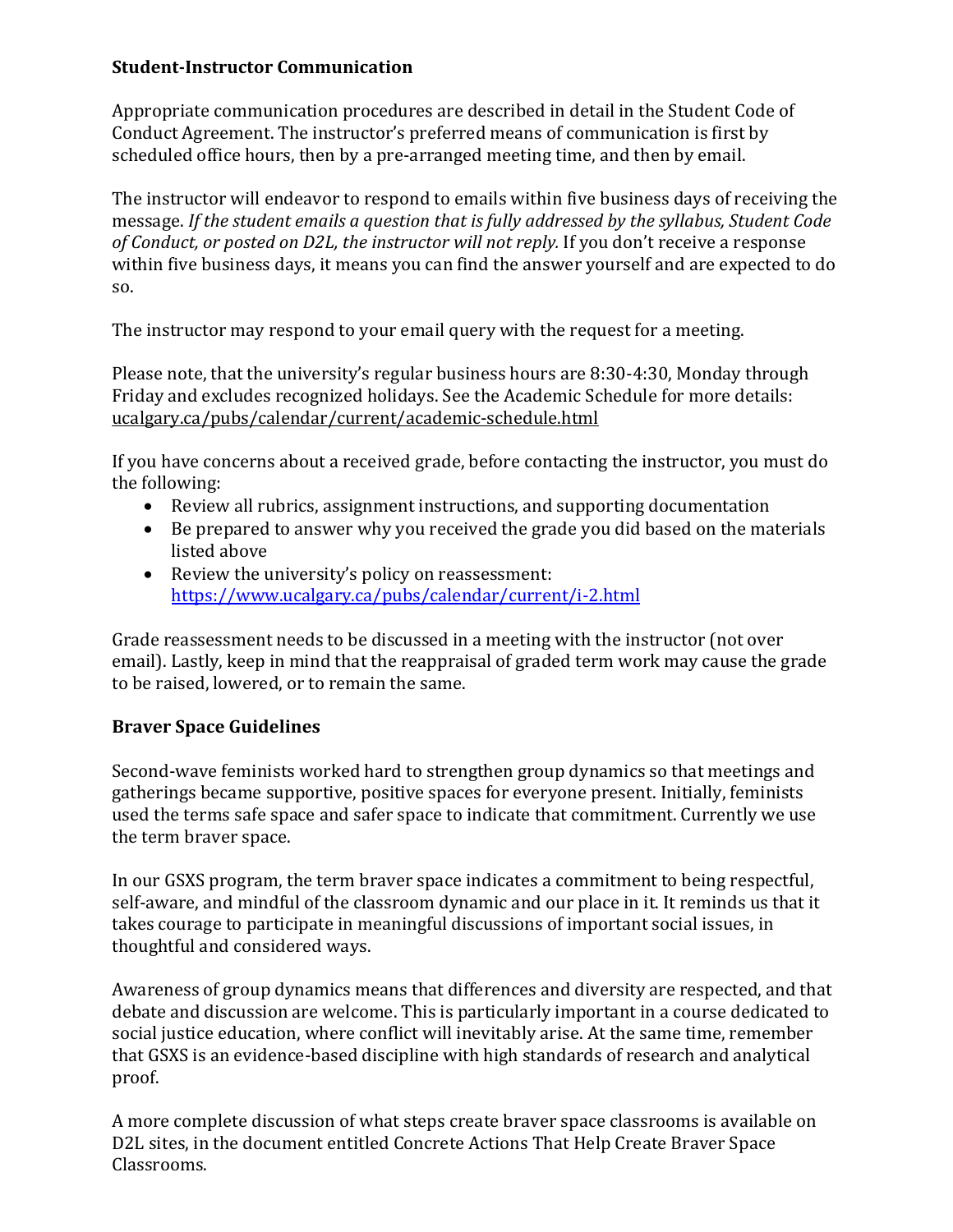# **Student-Instructor Communication**

Appropriate communication procedures are described in detail in the Student Code of Conduct Agreement. The instructor's preferred means of communication is first by scheduled office hours, then by a pre-arranged meeting time, and then by email.

The instructor will endeavor to respond to emails within five business days of receiving the message. *If the student emails a question that is fully addressed by the syllabus, Student Code of Conduct, or posted on D2L, the instructor will not reply.* If you don't receive a response within five business days, it means you can find the answer yourself and are expected to do so.

The instructor may respond to your email query with the request for a meeting.

Please note, that the university's regular business hours are 8:30-4:30, Monday through Friday and excludes recognized holidays. See the Academic Schedule for more details: [ucalgary.ca/pubs/calendar/current/academic-schedule.html](https://ucalgary.ca/pubs/calendar/current/academic-schedule.html)

If you have concerns about a received grade, before contacting the instructor, you must do the following:

- Review all rubrics, assignment instructions, and supporting documentation
- Be prepared to answer why you received the grade you did based on the materials listed above
- Review the university's policy on reassessment: <https://www.ucalgary.ca/pubs/calendar/current/i-2.html>

Grade reassessment needs to be discussed in a meeting with the instructor (not over email). Lastly, keep in mind that the reappraisal of graded term work may cause the grade to be raised, lowered, or to remain the same.

# **Braver Space Guidelines**

Second-wave feminists worked hard to strengthen group dynamics so that meetings and gatherings became supportive, positive spaces for everyone present. Initially, feminists used the terms safe space and safer space to indicate that commitment. Currently we use the term braver space.

In our GSXS program, the term braver space indicates a commitment to being respectful, self-aware, and mindful of the classroom dynamic and our place in it. It reminds us that it takes courage to participate in meaningful discussions of important social issues, in thoughtful and considered ways.

Awareness of group dynamics means that differences and diversity are respected, and that debate and discussion are welcome. This is particularly important in a course dedicated to social justice education, where conflict will inevitably arise. At the same time, remember that GSXS is an evidence-based discipline with high standards of research and analytical proof.

A more complete discussion of what steps create braver space classrooms is available on D2L sites, in the document entitled Concrete Actions That Help Create Braver Space Classrooms.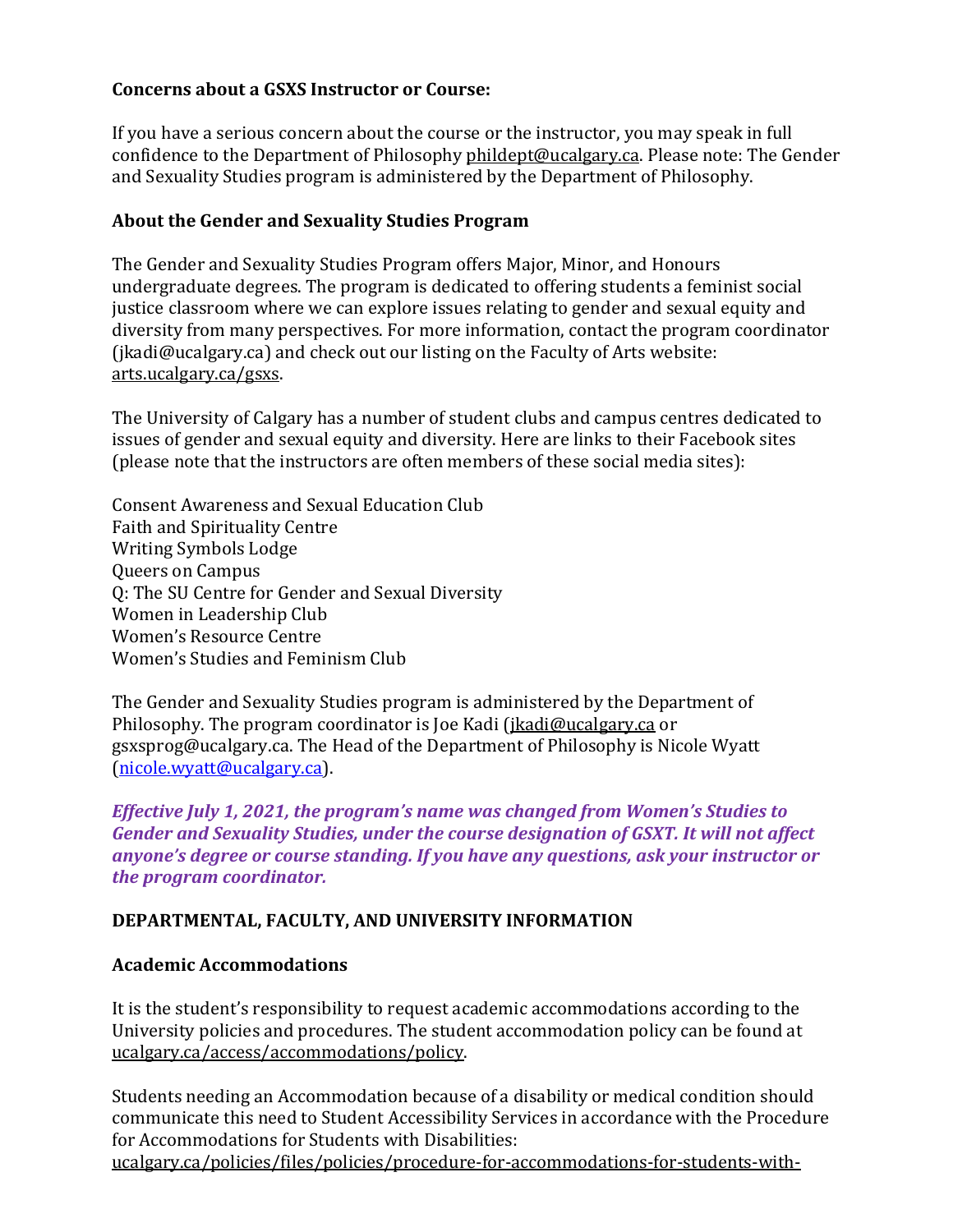### **Concerns about a GSXS Instructor or Course:**

If you have a serious concern about the course or the instructor, you may speak in full confidence to the Department of Philosoph[y phildept@ucalgary.ca.](mailto:phildept@ucalgary.ca) Please note: The Gender and Sexuality Studies program is administered by the Department of Philosophy.

### **About the Gender and Sexuality Studies Program**

The Gender and Sexuality Studies Program offers Major, Minor, and Honours undergraduate degrees. The program is dedicated to offering students a feminist social justice classroom where we can explore issues relating to gender and sexual equity and diversity from many perspectives. For more information, contact the program coordinator (jkadi@ucalgary.ca) and check out our listing on the Faculty of Arts website: [arts.ucalgary.ca/gsxs.](https://arts.ucalgary.ca/womens-studies)

The University of Calgary has a number of student clubs and campus centres dedicated to issues of gender and sexual equity and diversity. Here are links to their Facebook sites (please note that the instructors are often members of these social media sites):

Consent Awareness and Sexual Education Club Faith and Spirituality Centre Writing Symbols Lodge Queers on Campus Q: The SU Centre for Gender and Sexual Diversity Women in Leadership Club Women's Resource Centre Women's Studies and Feminism Club

The Gender and Sexuality Studies program is administered by the Department of Philosophy. The program coordinator is Joe Kadi [\(jkadi@ucalgary.ca](mailto:jkadi@ucalgary.ca) or gsxsprog@ucalgary.ca. The Head of the Department of Philosophy is Nicole Wyatt [\(nicole.wyatt@ucalgary.ca\)](mailto:nicole.wyatt@ucalgary.ca).

*Effective July 1, 2021, the program's name was changed from Women's Studies to Gender and Sexuality Studies, under the course designation of GSXT. It will not affect anyone's degree or course standing. If you have any questions, ask your instructor or the program coordinator.*

### **DEPARTMENTAL, FACULTY, AND UNIVERSITY INFORMATION**

### **Academic Accommodations**

It is the student's responsibility to request academic accommodations according to the University policies and procedures. The student accommodation policy can be found at [ucalgary.ca/access/accommodations/policy.](https://ucalgary.ca/access/accommodations/policy)

Students needing an Accommodation because of a disability or medical condition should communicate this need to Student Accessibility Services in accordance with the Procedure for Accommodations for Students with Disabilities:

[ucalgary.ca/policies/files/policies/procedure-for-accommodations-for-students-with-](https://www.ucalgary.ca/policies/files/policies/procedure-for-accommodations-for-students-with-disabilities.pdf)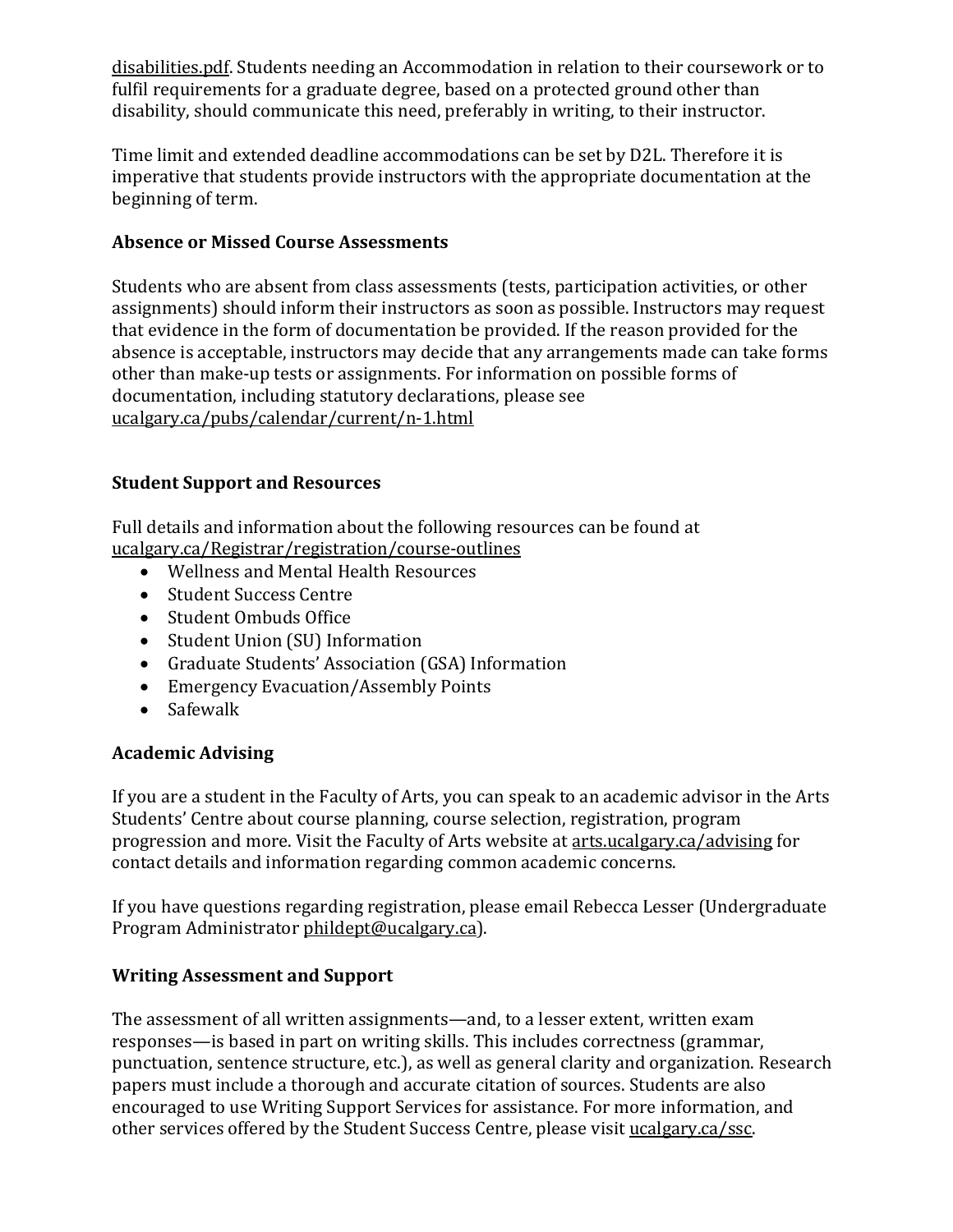[disabilities.pdf.](https://www.ucalgary.ca/policies/files/policies/procedure-for-accommodations-for-students-with-disabilities.pdf) Students needing an Accommodation in relation to their coursework or to fulfil requirements for a graduate degree, based on a protected ground other than disability, should communicate this need, preferably in writing, to their instructor.

Time limit and extended deadline accommodations can be set by D2L. Therefore it is imperative that students provide instructors with the appropriate documentation at the beginning of term.

# **Absence or Missed Course Assessments**

Students who are absent from class assessments (tests, participation activities, or other assignments) should inform their instructors as soon as possible. Instructors may request that evidence in the form of documentation be provided. If the reason provided for the absence is acceptable, instructors may decide that any arrangements made can take forms other than make-up tests or assignments. For information on possible forms of documentation, including statutory declarations, please see [ucalgary.ca/pubs/calendar/current/n-1.html](https://www.ucalgary.ca/pubs/calendar/current/n-1.html)

# **Student Support and Resources**

Full details and information about the following resources can be found at [ucalgary.ca/Registrar/registration/course-outlines](https://www.ucalgary.ca/registrar/registration/course-outlines)

- Wellness and Mental Health Resources
- Student Success Centre
- Student Ombuds Office
- Student Union (SU) Information
- Graduate Students' Association (GSA) Information
- Emergency Evacuation/Assembly Points
- Safewalk

# **Academic Advising**

If you are a student in the Faculty of Arts, you can speak to an academic advisor in the Arts Students' Centre about course planning, course selection, registration, program progression and more. Visit the Faculty of Arts website a[t arts.ucalgary.ca/advising](https://arts.ucalgary.ca/advising) for contact details and information regarding common academic concerns.

If you have questions regarding registration, please email Rebecca Lesser (Undergraduate Program Administrator [phildept@ucalgary.ca\)](mailto:phildept@ucalgary.ca).

# **Writing Assessment and Support**

The assessment of all written assignments—and, to a lesser extent, written exam responses—is based in part on writing skills. This includes correctness (grammar, punctuation, sentence structure, etc.), as well as general clarity and organization. Research papers must include a thorough and accurate citation of sources. Students are also encouraged to use Writing Support Services for assistance. For more information, and other services offered by the Student Success Centre, please visit [ucalgary.ca/ssc.](https://ucalgary.ca/ssc)